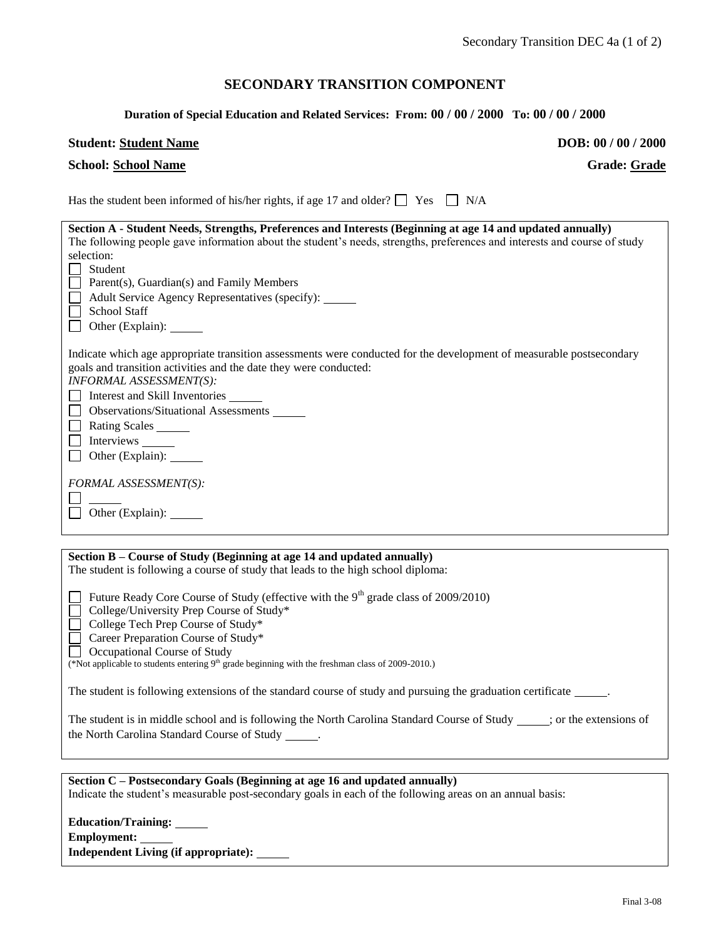# **SECONDARY TRANSITION COMPONENT**

## **Duration of Special Education and Related Services: From: 00 / 00 / 2000 To: 00 / 00 / 2000**

## **Student: Student Name DOB: 00** / 00 / 2000

| <b>School: School Name</b> |  |
|----------------------------|--|
|                            |  |

**School: School Name Grade: Grade**

Has the student been informed of his/her rights, if age 17 and older?  $\Box$  Yes  $\Box$  N/A

| Section A - Student Needs, Strengths, Preferences and Interests (Beginning at age 14 and updated annually)<br>The following people gave information about the student's needs, strengths, preferences and interests and course of study<br>selection:<br>Student<br>$\Box$ Parent(s), Guardian(s) and Family Members<br>Adult Service Agency Representatives (specify):<br><b>School Staff</b><br>$\Box$ Other (Explain): $\Box$ |
|----------------------------------------------------------------------------------------------------------------------------------------------------------------------------------------------------------------------------------------------------------------------------------------------------------------------------------------------------------------------------------------------------------------------------------|
| Indicate which age appropriate transition assessments were conducted for the development of measurable postsecondary<br>goals and transition activities and the date they were conducted:<br>INFORMAL ASSESSMENT(S):<br>Interest and Skill Inventories<br>□ Observations/Situational Assessments<br>Rating Scales _______<br>Interviews _______<br>$\Box$ Other (Explain):                                                       |
| FORMAL ASSESSMENT(S):<br>Other (Explain):                                                                                                                                                                                                                                                                                                                                                                                        |
|                                                                                                                                                                                                                                                                                                                                                                                                                                  |
| Section B – Course of Study (Beginning at age 14 and updated annually)<br>The student is following a course of study that leads to the high school diploma:                                                                                                                                                                                                                                                                      |
| Future Ready Core Course of Study (effective with the $9th$ grade class of 2009/2010)<br>College/University Prep Course of Study*<br>□ College Tech Prep Course of Study*<br>Career Preparation Course of Study*<br>Occupational Course of Study<br>(*Not applicable to students entering 9 <sup>th</sup> grade beginning with the freshman class of 2009-2010.)                                                                 |
| The student is following extensions of the standard course of study and pursuing the graduation certificate ______.                                                                                                                                                                                                                                                                                                              |
| The student is in middle school and is following the North Carolina Standard Course of Study ____; or the extensions of<br>the North Carolina Standard Course of Study                                                                                                                                                                                                                                                           |

| Section C – Postsecondary Goals (Beginning at age 16 and updated annually)                                |  |  |  |  |
|-----------------------------------------------------------------------------------------------------------|--|--|--|--|
| Indicate the student's measurable post-secondary goals in each of the following areas on an annual basis: |  |  |  |  |
|                                                                                                           |  |  |  |  |
| Education/Training: _____                                                                                 |  |  |  |  |
| <b>Employment:</b>                                                                                        |  |  |  |  |

**Independent Living (if appropriate):**